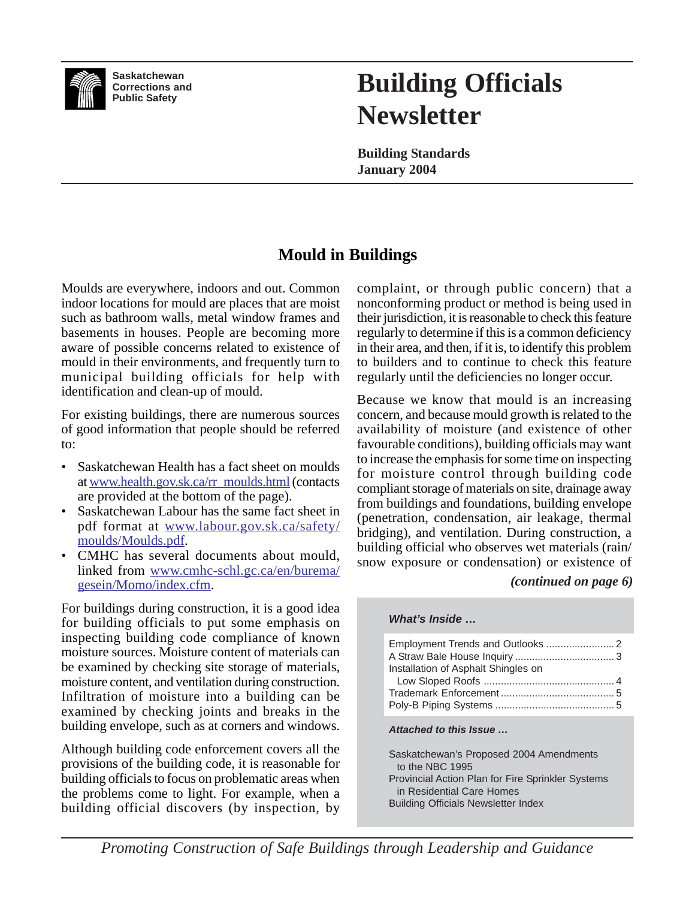

**Saskatchewan Corrections and Public Safety**

# **Building Officials Newsletter**

**Building Standards January 2004**

# **Mould in Buildings**

Moulds are everywhere, indoors and out. Common indoor locations for mould are places that are moist such as bathroom walls, metal window frames and basements in houses. People are becoming more aware of possible concerns related to existence of mould in their environments, and frequently turn to municipal building officials for help with identification and clean-up of mould.

For existing buildings, there are numerous sources of good information that people should be referred to:

- Saskatchewan Health has a fact sheet on moulds at www.health.gov.sk.ca/rr\_moulds.html (contacts are provided at the bottom of the page).
- Saskatchewan Labour has the same fact sheet in pdf format at www.labour.gov.sk.ca/safety/ moulds/Moulds.pdf.
- CMHC has several documents about mould, linked from www.cmhc-schl.gc.ca/en/burema/ gesein/Momo/index.cfm.

For buildings during construction, it is a good idea for building officials to put some emphasis on inspecting building code compliance of known moisture sources. Moisture content of materials can be examined by checking site storage of materials, moisture content, and ventilation during construction. Infiltration of moisture into a building can be examined by checking joints and breaks in the building envelope, such as at corners and windows.

Although building code enforcement covers all the provisions of the building code, it is reasonable for building officials to focus on problematic areas when the problems come to light. For example, when a building official discovers (by inspection, by

complaint, or through public concern) that a nonconforming product or method is being used in their jurisdiction, it is reasonable to check this feature regularly to determine if this is a common deficiency in their area, and then, if it is, to identify this problem to builders and to continue to check this feature regularly until the deficiencies no longer occur.

Because we know that mould is an increasing concern, and because mould growth is related to the availability of moisture (and existence of other favourable conditions), building officials may want to increase the emphasis for some time on inspecting for moisture control through building code compliant storage of materials on site, drainage away from buildings and foundations, building envelope (penetration, condensation, air leakage, thermal bridging), and ventilation. During construction, a building official who observes wet materials (rain/ snow exposure or condensation) or existence of

### *(continued on page 6)*

### *What's Inside …*

| Installation of Asphalt Shingles on                                                   |
|---------------------------------------------------------------------------------------|
|                                                                                       |
|                                                                                       |
| Attached to this Issue                                                                |
| Saskatchewan's Proposed 2004 Amendments<br>to the NBC 1995                            |
| <b>Provincial Action Plan for Fire Sprinkler Systems</b><br>in Residential Care Homes |
|                                                                                       |

*Promoting Construction of Safe Buildings through Leadership and Guidance*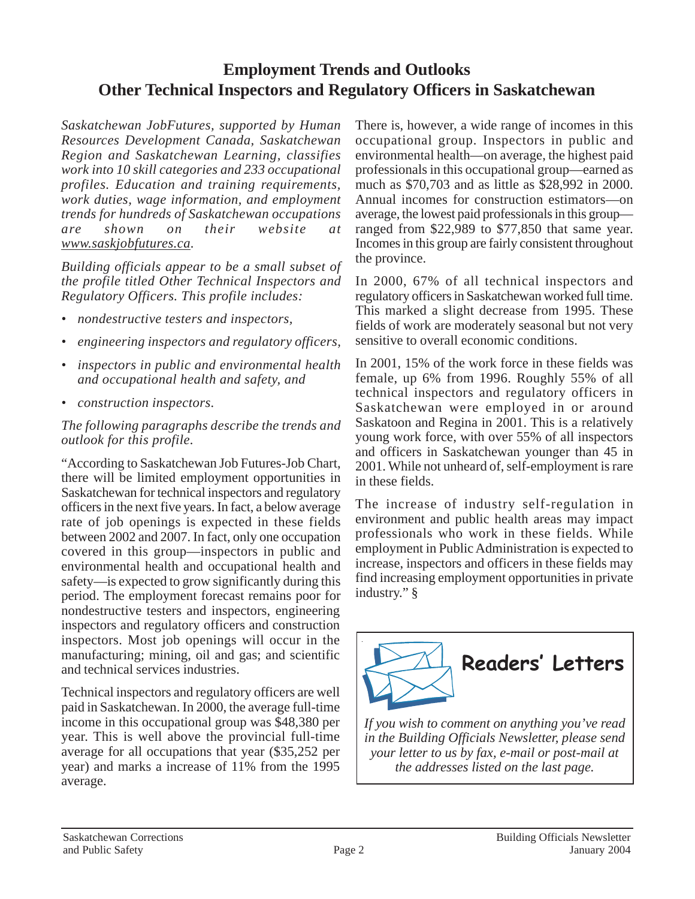# **Employment Trends and Outlooks Other Technical Inspectors and Regulatory Officers in Saskatchewan**

*Saskatchewan JobFutures, supported by Human Resources Development Canada, Saskatchewan Region and Saskatchewan Learning, classifies work into 10 skill categories and 233 occupational profiles. Education and training requirements, work duties, wage information, and employment trends for hundreds of Saskatchewan occupations are shown on their website at www.saskjobfutures.ca.*

*Building officials appear to be a small subset of the profile titled Other Technical Inspectors and Regulatory Officers. This profile includes:*

- *nondestructive testers and inspectors,*
- *engineering inspectors and regulatory officers,*
- *inspectors in public and environmental health and occupational health and safety, and*
- *construction inspectors.*

*The following paragraphs describe the trends and outlook for this profile.*

"According to Saskatchewan Job Futures-Job Chart, there will be limited employment opportunities in Saskatchewan for technical inspectors and regulatory officers in the next five years. In fact, a below average rate of job openings is expected in these fields between 2002 and 2007. In fact, only one occupation covered in this group—inspectors in public and environmental health and occupational health and safety—is expected to grow significantly during this period. The employment forecast remains poor for nondestructive testers and inspectors, engineering inspectors and regulatory officers and construction inspectors. Most job openings will occur in the manufacturing; mining, oil and gas; and scientific and technical services industries.

Technical inspectors and regulatory officers are well paid in Saskatchewan. In 2000, the average full-time income in this occupational group was \$48,380 per year. This is well above the provincial full-time average for all occupations that year (\$35,252 per year) and marks a increase of 11% from the 1995 average.

There is, however, a wide range of incomes in this occupational group. Inspectors in public and environmental health—on average, the highest paid professionals in this occupational group—earned as much as \$70,703 and as little as \$28,992 in 2000. Annual incomes for construction estimators—on average, the lowest paid professionals in this group ranged from \$22,989 to \$77,850 that same year. Incomes in this group are fairly consistent throughout the province.

In 2000, 67% of all technical inspectors and regulatory officers in Saskatchewan worked full time. This marked a slight decrease from 1995. These fields of work are moderately seasonal but not very sensitive to overall economic conditions.

In 2001, 15% of the work force in these fields was female, up 6% from 1996. Roughly 55% of all technical inspectors and regulatory officers in Saskatchewan were employed in or around Saskatoon and Regina in 2001. This is a relatively young work force, with over 55% of all inspectors and officers in Saskatchewan younger than 45 in 2001. While not unheard of, self-employment is rare in these fields.

The increase of industry self-regulation in environment and public health areas may impact professionals who work in these fields. While employment in Public Administration is expected to increase, inspectors and officers in these fields may find increasing employment opportunities in private industry." §



*If you wish to comment on anything you've read in the Building Officials Newsletter, please send your letter to us by fax, e-mail or post-mail at the addresses listed on the last page.*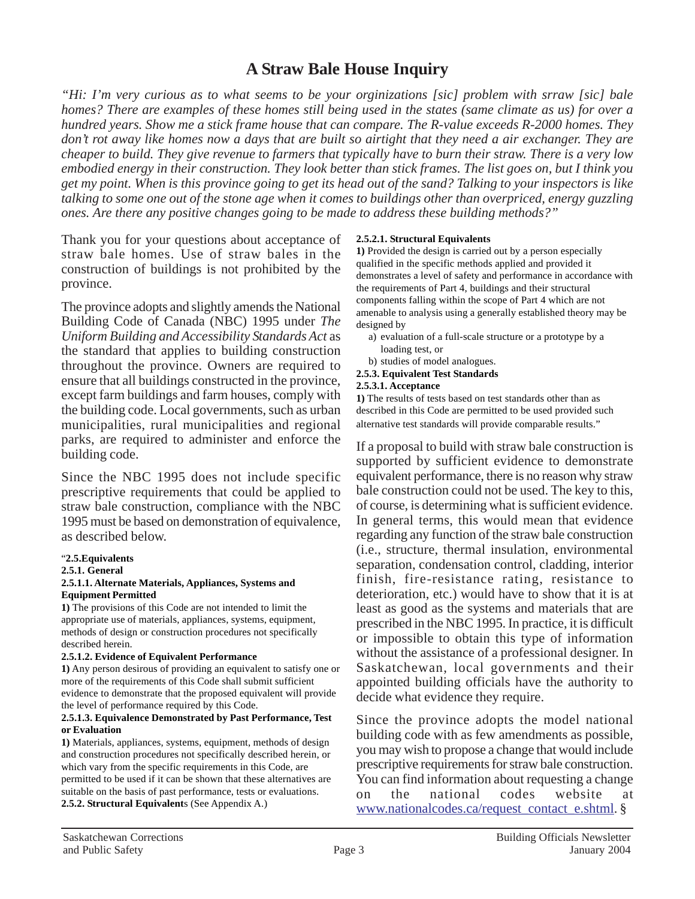## **A Straw Bale House Inquiry**

*"Hi: I'm very curious as to what seems to be your orginizations [sic] problem with srraw [sic] bale homes? There are examples of these homes still being used in the states (same climate as us) for over a hundred years. Show me a stick frame house that can compare. The R-value exceeds R-2000 homes. They don't rot away like homes now a days that are built so airtight that they need a air exchanger. They are cheaper to build. They give revenue to farmers that typically have to burn their straw. There is a very low embodied energy in their construction. They look better than stick frames. The list goes on, but I think you get my point. When is this province going to get its head out of the sand? Talking to your inspectors is like talking to some one out of the stone age when it comes to buildings other than overpriced, energy guzzling ones. Are there any positive changes going to be made to address these building methods?"*

Thank you for your questions about acceptance of straw bale homes. Use of straw bales in the construction of buildings is not prohibited by the province.

The province adopts and slightly amends the National Building Code of Canada (NBC) 1995 under *The Uniform Building and Accessibility Standards Act* as the standard that applies to building construction throughout the province. Owners are required to ensure that all buildings constructed in the province, except farm buildings and farm houses, comply with the building code. Local governments, such as urban municipalities, rural municipalities and regional parks, are required to administer and enforce the building code.

Since the NBC 1995 does not include specific prescriptive requirements that could be applied to straw bale construction, compliance with the NBC 1995 must be based on demonstration of equivalence, as described below.

### "**2.5.Equivalents**

#### **2.5.1. General**

#### **2.5.1.1. Alternate Materials, Appliances, Systems and Equipment Permitted**

**1)** The provisions of this Code are not intended to limit the appropriate use of materials, appliances, systems, equipment, methods of design or construction procedures not specifically described herein.

#### **2.5.1.2. Evidence of Equivalent Performance**

**1)** Any person desirous of providing an equivalent to satisfy one or more of the requirements of this Code shall submit sufficient evidence to demonstrate that the proposed equivalent will provide the level of performance required by this Code.

#### **2.5.1.3. Equivalence Demonstrated by Past Performance, Test or Evaluation**

**1)** Materials, appliances, systems, equipment, methods of design and construction procedures not specifically described herein, or which vary from the specific requirements in this Code, are permitted to be used if it can be shown that these alternatives are suitable on the basis of past performance, tests or evaluations. **2.5.2. Structural Equivalent**s (See Appendix A.)

### **2.5.2.1. Structural Equivalents**

**1)** Provided the design is carried out by a person especially qualified in the specific methods applied and provided it demonstrates a level of safety and performance in accordance with the requirements of Part 4, buildings and their structural components falling within the scope of Part 4 which are not amenable to analysis using a generally established theory may be designed by

- a) evaluation of a full-scale structure or a prototype by a loading test, or
- b) studies of model analogues.
- **2.5.3. Equivalent Test Standards**

#### **2.5.3.1. Acceptance**

**1)** The results of tests based on test standards other than as described in this Code are permitted to be used provided such alternative test standards will provide comparable results."

If a proposal to build with straw bale construction is supported by sufficient evidence to demonstrate equivalent performance, there is no reason why straw bale construction could not be used. The key to this, of course, is determining what is sufficient evidence. In general terms, this would mean that evidence regarding any function of the straw bale construction (i.e., structure, thermal insulation, environmental separation, condensation control, cladding, interior finish, fire-resistance rating, resistance to deterioration, etc.) would have to show that it is at least as good as the systems and materials that are prescribed in the NBC 1995. In practice, it is difficult or impossible to obtain this type of information without the assistance of a professional designer. In Saskatchewan, local governments and their appointed building officials have the authority to decide what evidence they require.

Since the province adopts the model national building code with as few amendments as possible, you may wish to propose a change that would include prescriptive requirements for straw bale construction. You can find information about requesting a change on the national codes website at www.nationalcodes.ca/request\_contact\_e.shtml. §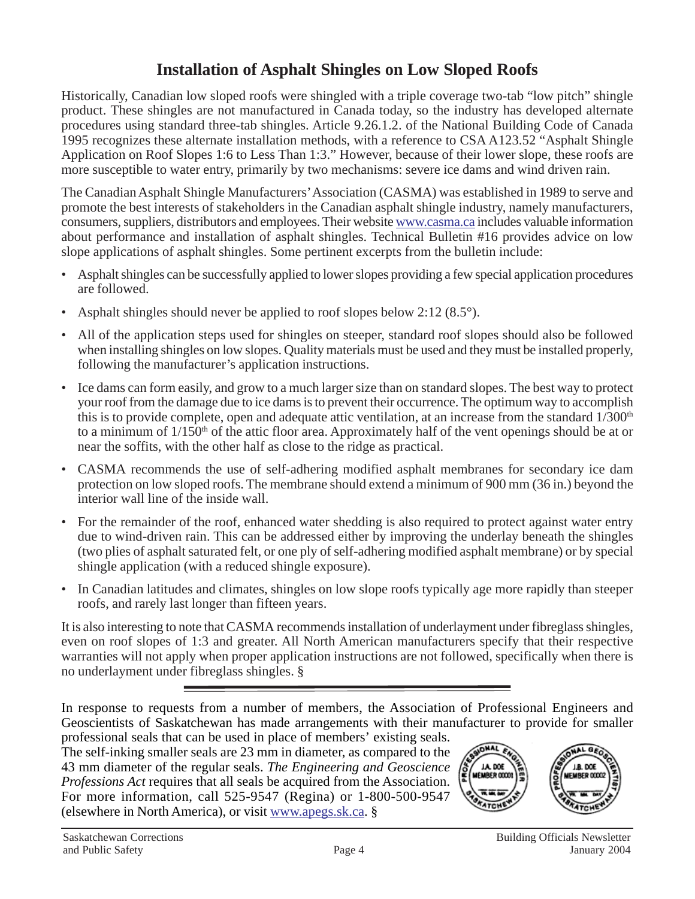# **Installation of Asphalt Shingles on Low Sloped Roofs**

Historically, Canadian low sloped roofs were shingled with a triple coverage two-tab "low pitch" shingle product. These shingles are not manufactured in Canada today, so the industry has developed alternate procedures using standard three-tab shingles. Article 9.26.1.2. of the National Building Code of Canada 1995 recognizes these alternate installation methods, with a reference to CSA A123.52 "Asphalt Shingle Application on Roof Slopes 1:6 to Less Than 1:3." However, because of their lower slope, these roofs are more susceptible to water entry, primarily by two mechanisms: severe ice dams and wind driven rain.

The Canadian Asphalt Shingle Manufacturers' Association (CASMA) was established in 1989 to serve and promote the best interests of stakeholders in the Canadian asphalt shingle industry, namely manufacturers, consumers, suppliers, distributors and employees. Their website www.casma.ca includes valuable information about performance and installation of asphalt shingles. Technical Bulletin #16 provides advice on low slope applications of asphalt shingles. Some pertinent excerpts from the bulletin include:

- Asphalt shingles can be successfully applied to lower slopes providing a few special application procedures are followed.
- Asphalt shingles should never be applied to roof slopes below 2:12 (8.5°).
- All of the application steps used for shingles on steeper, standard roof slopes should also be followed when installing shingles on low slopes. Quality materials must be used and they must be installed properly, following the manufacturer's application instructions.
- Ice dams can form easily, and grow to a much larger size than on standard slopes. The best way to protect your roof from the damage due to ice dams is to prevent their occurrence. The optimum way to accomplish this is to provide complete, open and adequate attic ventilation, at an increase from the standard  $1/300<sup>th</sup>$ to a minimum of  $1/150<sup>th</sup>$  of the attic floor area. Approximately half of the vent openings should be at or near the soffits, with the other half as close to the ridge as practical.
- CASMA recommends the use of self-adhering modified asphalt membranes for secondary ice dam protection on low sloped roofs. The membrane should extend a minimum of 900 mm (36 in.) beyond the interior wall line of the inside wall.
- For the remainder of the roof, enhanced water shedding is also required to protect against water entry due to wind-driven rain. This can be addressed either by improving the underlay beneath the shingles (two plies of asphalt saturated felt, or one ply of self-adhering modified asphalt membrane) or by special shingle application (with a reduced shingle exposure).
- In Canadian latitudes and climates, shingles on low slope roofs typically age more rapidly than steeper roofs, and rarely last longer than fifteen years.

It is also interesting to note that CASMA recommends installation of underlayment under fibreglass shingles, even on roof slopes of 1:3 and greater. All North American manufacturers specify that their respective warranties will not apply when proper application instructions are not followed, specifically when there is no underlayment under fibreglass shingles. §

In response to requests from a number of members, the Association of Professional Engineers and Geoscientists of Saskatchewan has made arrangements with their manufacturer to provide for smaller

professional seals that can be used in place of members' existing seals. The self-inking smaller seals are 23 mm in diameter, as compared to the 43 mm diameter of the regular seals. *The Engineering and Geoscience Professions Act* requires that all seals be acquired from the Association. For more information, call 525-9547 (Regina) or 1-800-500-9547 (elsewhere in North America), or visit www.apegs.sk.ca. §

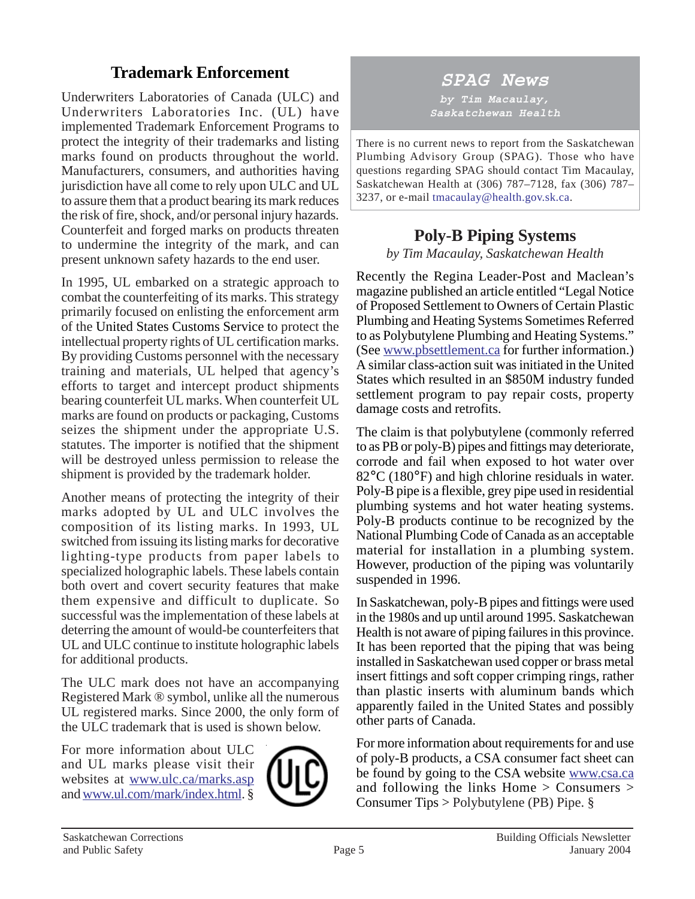# **Trademark Enforcement**

Underwriters Laboratories of Canada (ULC) and Underwriters Laboratories Inc. (UL) have implemented Trademark Enforcement Programs to protect the integrity of their trademarks and listing marks found on products throughout the world. Manufacturers, consumers, and authorities having jurisdiction have all come to rely upon ULC and UL to assure them that a product bearing its mark reduces the risk of fire, shock, and/or personal injury hazards. Counterfeit and forged marks on products threaten to undermine the integrity of the mark, and can present unknown safety hazards to the end user.

In 1995, UL embarked on a strategic approach to combat the counterfeiting of its marks. This strategy primarily focused on enlisting the enforcement arm of the United States Customs Service to protect the intellectual property rights of UL certification marks. By providing Customs personnel with the necessary training and materials, UL helped that agency's efforts to target and intercept product shipments bearing counterfeit UL marks. When counterfeit UL marks are found on products or packaging, Customs seizes the shipment under the appropriate U.S. statutes. The importer is notified that the shipment will be destroyed unless permission to release the shipment is provided by the trademark holder.

Another means of protecting the integrity of their marks adopted by UL and ULC involves the composition of its listing marks. In 1993, UL switched from issuing its listing marks for decorative lighting-type products from paper labels to specialized holographic labels. These labels contain both overt and covert security features that make them expensive and difficult to duplicate. So successful was the implementation of these labels at deterring the amount of would-be counterfeiters that UL and ULC continue to institute holographic labels for additional products.

The ULC mark does not have an accompanying Registered Mark ® symbol, unlike all the numerous UL registered marks. Since 2000, the only form of the ULC trademark that is used is shown below.

For more information about ULC and UL marks please visit their websites at www.ulc.ca/marks.asp and www.ul.com/mark/index.html. §



# **SPAG News**

**by Tim Macaulay, Saskatchewan Health**

There is no current news to report from the Saskatchewan Plumbing Advisory Group (SPAG). Those who have questions regarding SPAG should contact Tim Macaulay, Saskatchewan Health at (306) 787–7128, fax (306) 787– 3237, or e-mail tmacaulay@health.gov.sk.ca.

# **Poly-B Piping Systems**

*by Tim Macaulay, Saskatchewan Health*

Recently the Regina Leader-Post and Maclean's magazine published an article entitled "Legal Notice of Proposed Settlement to Owners of Certain Plastic Plumbing and Heating Systems Sometimes Referred to as Polybutylene Plumbing and Heating Systems." (See www.pbsettlement.ca for further information.) A similar class-action suit was initiated in the United States which resulted in an \$850M industry funded settlement program to pay repair costs, property damage costs and retrofits.

The claim is that polybutylene (commonly referred to as PB or poly-B) pipes and fittings may deteriorate, corrode and fail when exposed to hot water over 82°C (180°F) and high chlorine residuals in water. Poly-B pipe is a flexible, grey pipe used in residential plumbing systems and hot water heating systems. Poly-B products continue to be recognized by the National Plumbing Code of Canada as an acceptable material for installation in a plumbing system. However, production of the piping was voluntarily suspended in 1996.

In Saskatchewan, poly-B pipes and fittings were used in the 1980s and up until around 1995. Saskatchewan Health is not aware of piping failures in this province. It has been reported that the piping that was being installed in Saskatchewan used copper or brass metal insert fittings and soft copper crimping rings, rather than plastic inserts with aluminum bands which apparently failed in the United States and possibly other parts of Canada.

For more information about requirements for and use of poly-B products, a CSA consumer fact sheet can be found by going to the CSA website www.csa.ca and following the links Home > Consumers > Consumer Tips > Polybutylene (PB) Pipe. §